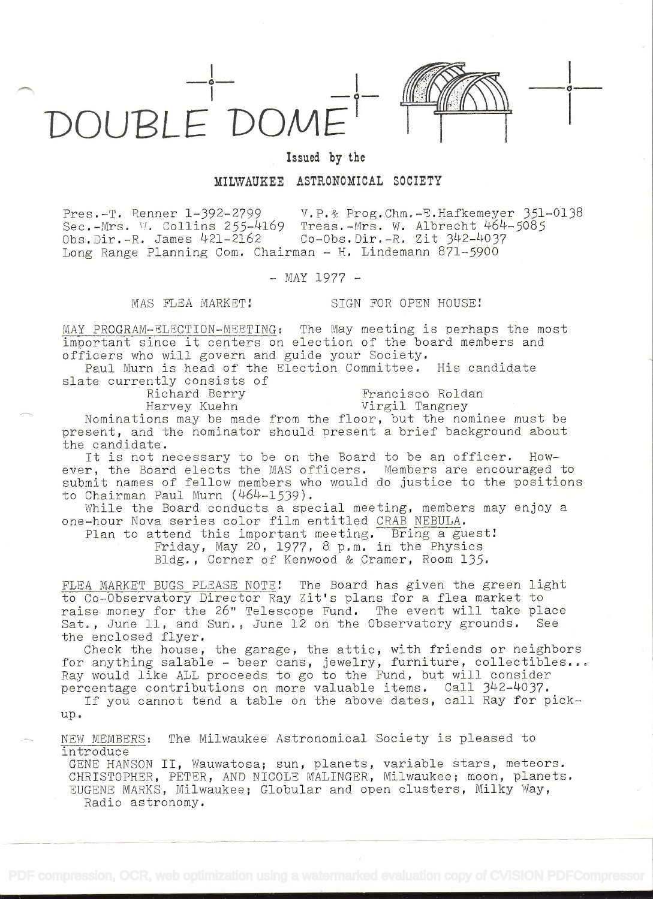

 $\sigma$  -  $\sim$ 

## Issued by the

## MILWAUKEE ASTRONOMICAL SOCIETY

Pres.-T. Renner 1-392-2799  $V.P.\&$  Prog.Chm.-E.Hafkemeyer 351-0138<br>Sec.-Mrs. W. Collins 255-4169 Treas.-Mrs. W. Albrecht 464-5085 Sec.-Mrs. W. Collins 255-4169 Treas.-Mrs. W. Albrecht 464-5085<br>Obs.Dir.-R. James 421-2162 Co-Obs.Dir.-R. Zit 342-4037 Co-Obs.Dir.-R. Zit 342-4037 Long Range Planning Com. Chairman  $-$  H. Lindemann 871-5900

 $-$  MAY 1977  $-$ 

MAS FLEA MARKET! SIGN FOR OPEN HOUSE!

MAY PROGRAM-ELECTION-MEETING: The May meeting is perhaps the most important since it centers on election of the board members and officers who will govern and guide your Society.

Paul Mum is head of' the Election Committee. His candidate slate currently consists of<br>Richard Berry

Richard Berry Francisco Roldan<br>Harvey Kuehn Virgil Tangney

Virgil Tangney

Nominations may be made from the floor, but the nominee must be present, and the nominator should present a brief background about the candidate.

It is not necessary to be on the Board to be an officer. However, the Board elects the MAS officers. Members are encouraged to submit names of fellow members who would do justice to the positions to Chairman Paul Murn  $(464-1539)$ .

While the Board conducts a special meeting, members may enjoy a one-hour Nova series color film entitled CRAB NEBULA.

Plan to attend this important meeting. Bring a guest! Friday, May 20, 1977, 8 p.m. in the Physics Bldg. , Corner of Kenwood & Cramer, Room 135.

FLEA MARKET BUGS PLEASE NOTE! The Board has given the green light to Co-Observatory Director Ray Zit's plans for a flea market to raise money for the 26" Telescope Fund. The event will take place Sat., June 11, and Sun., June 12 on the Observatory grounds. See the enclosed flyer.

Check the house, the garage, the attic, with friends or neighbors for anything salable - beer cans, jewelry, furniture, collectibles... Ray would like ALL proceeds to go to the Fund, but will consider percentage contributions on more valuable items. Call 342-4037.

If you cannot tend a table on the above dates, call Ray for pickup.

NEW MEMBERS: The Milwaukee Astronomical Society is pleased to introduce

GENE HANSON II, Wauwatosa; sun, planets, variable stars, meteors. CHRISTOPHER, PETER, AND NICOLE MALINGER, Milwaukee; moon, planets. EUGENE MARKS, Milwaukee; Globular and open clusters, Milky Way, Radio astronomy.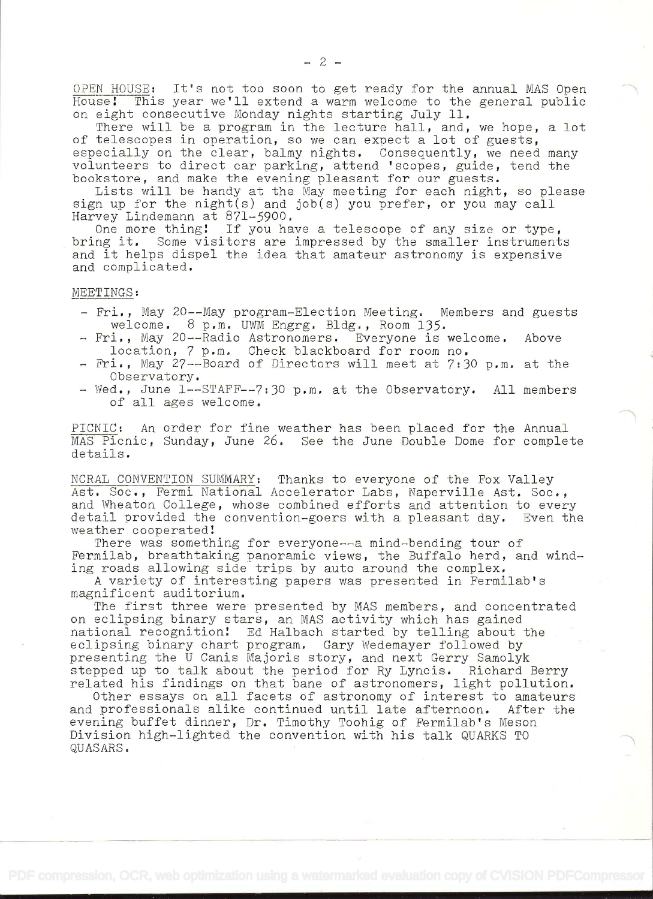OPEN HOUSE: It's not too soon to get ready for the annual MAS Open House! This year we'll extend a warm welcome to the general public on eight consecutive Monday nights starting July 11.

There will be a program in the lecture hall, and, we hope, a lot of telescopes in operation, so we can expect a lot of guests, especially on the clear, balmy nights. Consequently, we need many volunteers to direct car parking, attend 'scopes, guide, tend the bookstore, and make the evening pleasant for our guests.

Lists will be handy at the May meeting for each night, so please sign up for the  $night(s)$  and job(s) you prefer, or you may call Harvey Lindemann at 871-5900.

One more thing! If you have a telescope of any size or type, bring it. Some visitors are impressed by the smaller instruments and it helps dispel the idea that amateur astronomy is expensive and complicated.

MEETINGS:

- Fri., May 20--May program-Election Meeting. Members and guests welcome. 8 p.m. UWM Engrg. Bldg., Room 135.
- Fri., May 20--Radio Astronomers. Everyone is welcome. Above location, 7 p.m. Check blackboard for room no,
- Fri., May 27--Board of Directors will meet at 7:30 p.m. at the Observatory.
- Wed., June 1--STAFF--7:30 p.m. at the Observatory. All members of all ages welcome.

PICNIC: An order for fine weather has been placed for the Annual MAS Picnic, Sunday, June 26. See the June Double Dome for complete details.

NCRAL CONVENTION SUMMARY: Thanks to everyone of the Fox Valley Ast, Soc., Fermi National Accelerator Labs, Naperville Ast, Soc., and Wheaton College, whose combined efforts and attention to every detail provided the convention-goers with a pleasant day. Even the weather cooperated

There was something for everyone--a mind-bending tour of Fermilab, breathtaking panoramic views, the Buffalo herd, and winding roads allowing side trips by auto around the complex.

A variety of interesting papers was presented in Fermilabts magnificent auditorium.

The first three were presented by MAS members, and concentrated on eclipsing binary stars, an MAS activity which has gained national recognition! Ed Halbach started by telling about the eclipsing binary chart program. Gary Wedemayer followed by presenting the U Canis Majoris story, and next Gerry Samolyk stepped up to talk about the period for Ry Lyncis. Richard Berry related his findings on that bane of astronomers, light pollution.

Other essays on all facets of astronomy of interest to amateurs and professionals alike continued until late afternoon. After the evening buffet dinner, Dr. Timothy Toohig of Fermilab's Meson Division high-lighted the convention with his talk QUARKS TO QUASARS.